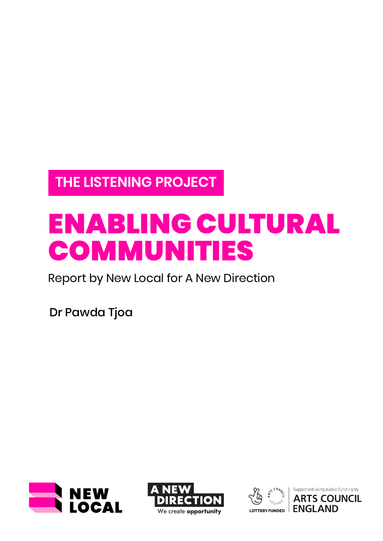**THE LISTENING PROJECT**

# ENABLING CULTURAL COMMUNITIES

Report by New Local for A New Direction

Dr Pawda Tjoa







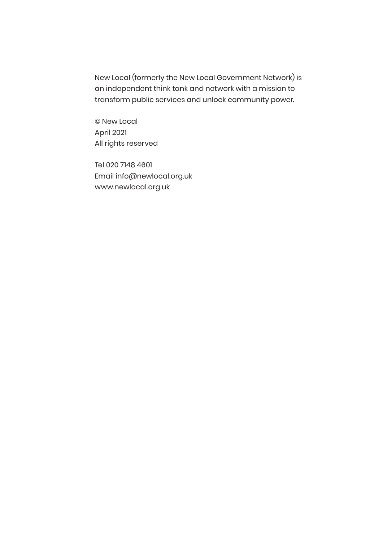New Local (formerly the New Local Government Network) is an independent think tank and network with a mission to transform public services and unlock community power.

© New Local April 2021 All rights reserved

Tel 020 7148 4601 Email info@newlocal.org.uk www.newlocal.org.uk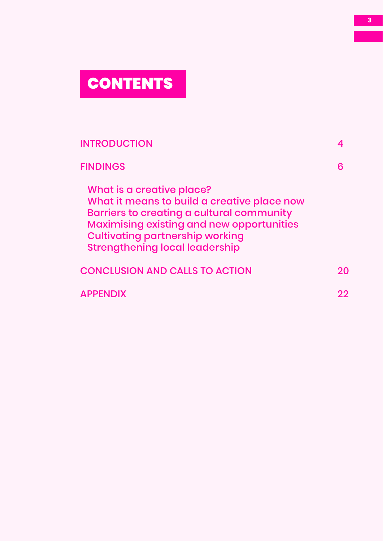# **CONTENTS**

| <b>INTRODUCTION</b>                                                                                                                                                                                                                                          |   |
|--------------------------------------------------------------------------------------------------------------------------------------------------------------------------------------------------------------------------------------------------------------|---|
| <b>FINDINGS</b>                                                                                                                                                                                                                                              | 6 |
| What is a creative place?<br>What it means to build a creative place now<br>Barriers to creating a cultural community<br><b>Maximising existing and new opportunities</b><br><b>Cultivating partnership working</b><br><b>Strengthening local leadership</b> |   |
| <b>CONCLUSION AND CALLS TO ACTION</b>                                                                                                                                                                                                                        |   |
| <b>APPENDIX</b>                                                                                                                                                                                                                                              |   |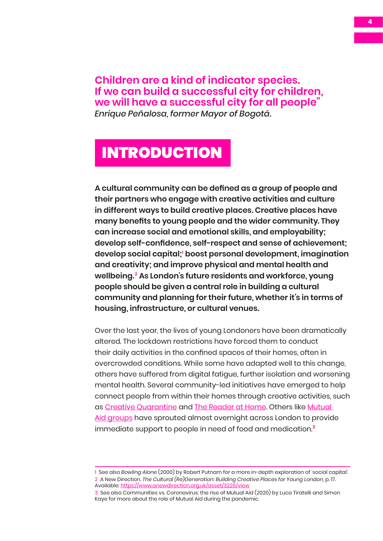<span id="page-3-0"></span>**Children are a kind of indicator species. If we can build a successful city for children, we will have a successful city for all people"**  *Enrique Peñalosa, former Mayor of Bogotá.*

## INTRODUCTION

**A cultural community can be defined as a group of people and their partners who engage with creative activities and culture in different ways to build creative places. Creative places have many benefits to young people and the wider community. They can increase social and emotional skills, and employability; develop self-confidence, self-respect and sense of achievement; develop social capital;<sup>1</sup> boost personal development, imagination and creativity; and improve physical and mental health and wellbeing.<sup>2</sup> As London's future residents and workforce, young people should be given a central role in building a cultural community and planning for their future, whether it's in terms of housing, infrastructure, or cultural venues.**

Over the last year, the lives of young Londoners have been dramatically altered. The lockdown restrictions have forced them to conduct their daily activities in the confined spaces of their homes, often in overcrowded conditions. While some have adapted well to this change, others have suffered from digital fatigue, further isolation and worsening mental health. Several community-led initiatives have emerged to help connect people from within their homes through creative activities, such as [Creative Quarantine](https://wearenonsuch.com/creativequarantine/#:~:text=Creative Quarantine is a series email filled with,fun and connect with people across the world.) and [The Reader at Home.](https://www.thereader.org.uk/get-involved/the-reader-at-home/) Others like [Mutual](https://www.mutual-aid.co.uk/)  [Aid groups](https://www.mutual-aid.co.uk/) have sprouted almost overnight across London to provide immediate support to people in need of food and medication.**<sup>3</sup>**

<sup>1</sup> See also *Bowling Alone* (2000) by Robert Putnam for a more in-depth exploration of 'social capital'. 2 A New Direction. *The Cultural (Re)Generation: Building Creative Places for Young London,* p. 17. Available: <https://www.anewdirection.org.uk/asset/3226/view>

<sup>3</sup> See also Communities vs. Coronavirus: the rise of Mutual Aid (2020) by Luca Tiratelli and Simon Kaye for more about the role of Mutual Aid during the pandemic.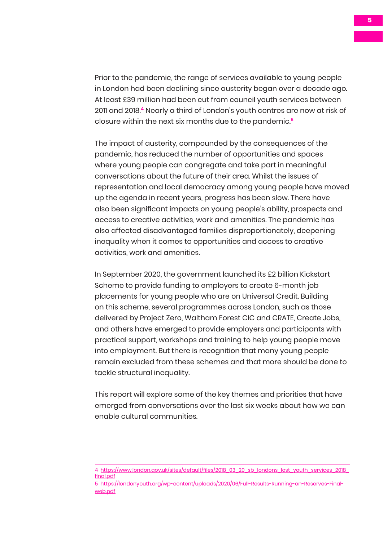Prior to the pandemic, the range of services available to young people in London had been declining since austerity began over a decade ago. At least £39 million had been cut from council youth services between 2011 and 2018.**<sup>4</sup>** Nearly a third of London's youth centres are now at risk of closure within the next six months due to the pandemic.**<sup>5</sup>**

The impact of austerity, compounded by the consequences of the pandemic, has reduced the number of opportunities and spaces where young people can congregate and take part in meaningful conversations about the future of their area. Whilst the issues of representation and local democracy among young people have moved up the agenda in recent years, progress has been slow. There have also been significant impacts on young people's ability, prospects and access to creative activities, work and amenities. The pandemic has also affected disadvantaged families disproportionately, deepening inequality when it comes to opportunities and access to creative activities, work and amenities.

In September 2020, the government launched its £2 billion Kickstart Scheme to provide funding to employers to create 6-month job placements for young people who are on Universal Credit. Building on this scheme, several programmes across London, such as those delivered by Project Zero, Waltham Forest CIC and CRATE, Create Jobs, and others have emerged to provide employers and participants with practical support, workshops and training to help young people move into employment. But there is recognition that many young people remain excluded from these schemes and that more should be done to tackle structural inequality.

This report will explore some of the key themes and priorities that have emerged from conversations over the last six weeks about how we can enable cultural communities.

<sup>4</sup> [https://www.london.gov.uk/sites/default/files/2018\\_03\\_20\\_sb\\_londons\\_lost\\_youth\\_services\\_2018\\_](https://www.london.gov.uk/sites/default/files/2018_03_20_sb_londons_lost_youth_services_2018_final.pdf) [final.pdf](https://www.london.gov.uk/sites/default/files/2018_03_20_sb_londons_lost_youth_services_2018_final.pdf)

<sup>5</sup> [https://londonyouth.org/wp-content/uploads/2020/06/Full-Results-Running-on-Reserves-Final](https://londonyouth.org/wp-content/uploads/2020/06/Full-Results-Running-on-Reserves-Final-web.pdf)[web.pdf](https://londonyouth.org/wp-content/uploads/2020/06/Full-Results-Running-on-Reserves-Final-web.pdf)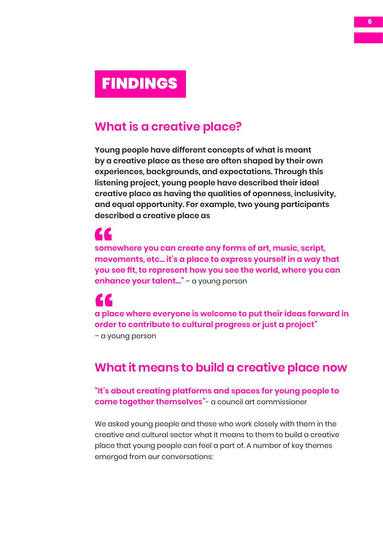# <span id="page-5-0"></span>FINDINGS

#### **What is a creative place?**

**Young people have different concepts of what is meant by a creative place as these are often shaped by their own experiences, backgrounds, and expectations. Through this listening project, young people have described their ideal creative place as having the qualities of openness, inclusivity, and equal opportunity. For example, two young participants described a creative place as** 

# ZZ.

**somewhere you can create any forms of art, music, script, movements, etc... it's a place to express yourself in a way that you see fit, to represent how you see the world, where you can enhance your talent…"** – a young person some<br>"<br>"<br>you s

**a place where everyone is welcome to put their ideas forward in order to contribute to cultural progress or just a project"** – a young person a pla<br>
orde<br>
– a yc

#### **What it means to build a creative place now**

**"It's about creating platforms and spaces for young people to come together themselves"**- a council art commissioner

We asked young people and those who work closely with them in the creative and cultural sector what it means to them to build a creative place that young people can feel a part of. A number of key themes emerged from our conversations: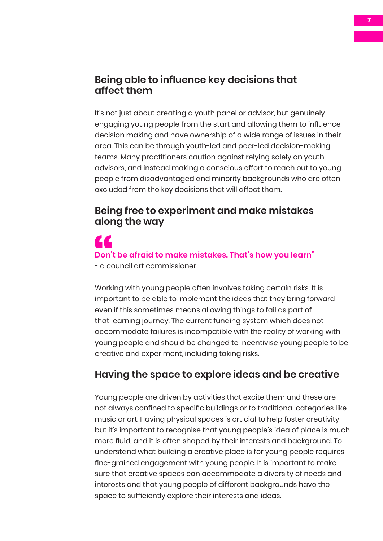#### **Being able to influence key decisions that affect them**

It's not just about creating a youth panel or advisor, but genuinely engaging young people from the start and allowing them to influence decision making and have ownership of a wide range of issues in their area. This can be through youth-led and peer-led decision-making teams. Many practitioners caution against relying solely on youth advisors, and instead making a conscious effort to reach out to young people from disadvantaged and minority backgrounds who are often excluded from the key decisions that will affect them.

#### **Being free to experiment and make mistakes along the way**

# **Don't be afraid to make mistakes. That's how you learn"**  $\frac{1}{2}$  Don't

- a council art commissioner

Working with young people often involves taking certain risks. It is important to be able to implement the ideas that they bring forward even if this sometimes means allowing things to fail as part of that learning journey. The current funding system which does not accommodate failures is incompatible with the reality of working with young people and should be changed to incentivise young people to be creative and experiment, including taking risks.

#### **Having the space to explore ideas and be creative**

Young people are driven by activities that excite them and these are not always confined to specific buildings or to traditional categories like music or art. Having physical spaces is crucial to help foster creativity but it's important to recognise that young people's idea of place is much more fluid, and it is often shaped by their interests and background. To understand what building a creative place is for young people requires fine-grained engagement with young people. It is important to make sure that creative spaces can accommodate a diversity of needs and interests and that young people of different backgrounds have the space to sufficiently explore their interests and ideas.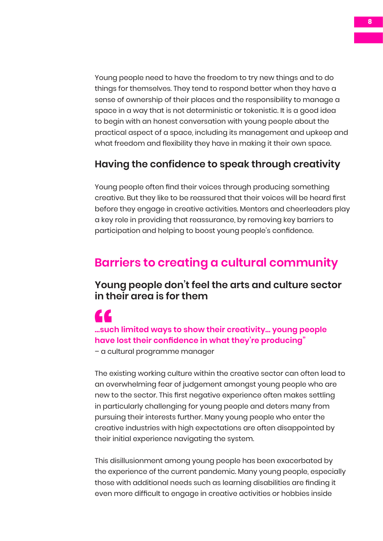Young people need to have the freedom to try new things and to do things for themselves. They tend to respond better when they have a sense of ownership of their places and the responsibility to manage a space in a way that is not deterministic or tokenistic. It is a good idea to begin with an honest conversation with young people about the practical aspect of a space, including its management and upkeep and what freedom and flexibility they have in making it their own space.

#### **Having the confidence to speak through creativity**

Young people often find their voices through producing something creative. But they like to be reassured that their voices will be heard first before they engage in creative activities. Mentors and cheerleaders play a key role in providing that reassurance, by removing key barriers to participation and helping to boost young people's confidence.

#### **Barriers to creating a cultural community**

#### **Young people don't feel the arts and culture sector in their area is for them**

### **...such limited ways to show their creativity… young people have lost their confidence in what they're producing"** -<br>-<br> **have**<br>
- a cu

– a cultural programme manager

The existing working culture within the creative sector can often lead to an overwhelming fear of judgement amongst young people who are new to the sector. This first negative experience often makes settling in particularly challenging for young people and deters many from pursuing their interests further. Many young people who enter the creative industries with high expectations are often disappointed by their initial experience navigating the system.

This disillusionment among young people has been exacerbated by the experience of the current pandemic. Many young people, especially those with additional needs such as learning disabilities are finding it even more difficult to engage in creative activities or hobbies inside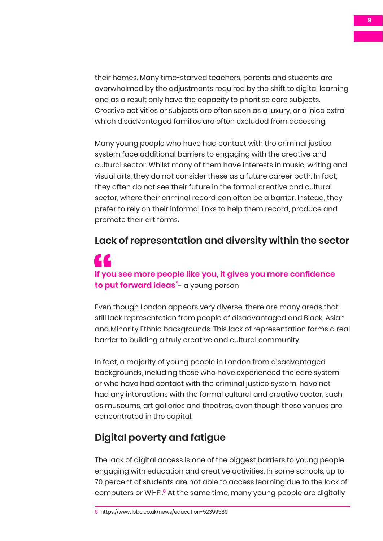their homes. Many time-starved teachers, parents and students are overwhelmed by the adjustments required by the shift to digital learning, and as a result only have the capacity to prioritise core subjects. Creative activities or subjects are often seen as a luxury, or a 'nice extra' which disadvantaged families are often excluded from accessing.

Many young people who have had contact with the criminal justice system face additional barriers to engaging with the creative and cultural sector. Whilst many of them have interests in music, writing and visual arts, they do not consider these as a future career path. In fact, they often do not see their future in the formal creative and cultural sector, where their criminal record can often be a barrier. Instead, they prefer to rely on their informal links to help them record, produce and promote their art forms.

### **Lack of representation and diversity within the sector** ZZ. If you<br>to pu **If you see more people like you, it gives you more confidence to put forward ideas"**- a young person

Even though London appears very diverse, there are many areas that still lack representation from people of disadvantaged and Black, Asian and Minority Ethnic backgrounds. This lack of representation forms a real barrier to building a truly creative and cultural community.

In fact, a majority of young people in London from disadvantaged backgrounds, including those who have experienced the care system or who have had contact with the criminal justice system, have not had any interactions with the formal cultural and creative sector, such as museums, art galleries and theatres, even though these venues are concentrated in the capital.

#### **Digital poverty and fatigue**

The lack of digital access is one of the biggest barriers to young people engaging with education and creative activities. In some schools, up to 70 percent of students are not able to access learning due to the lack of computers or Wi-Fi.**<sup>6</sup>** At the same time, many young people are digitally

<sup>6</sup> https://www.bbc.co.uk/news/education-52399589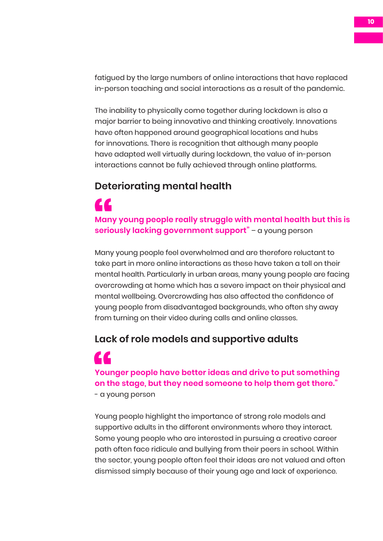fatigued by the large numbers of online interactions that have replaced in-person teaching and social interactions as a result of the pandemic.

The inability to physically come together during lockdown is also a major barrier to being innovative and thinking creatively. Innovations have often happened around geographical locations and hubs for innovations. There is recognition that although many people have adapted well virtually during lockdown, the value of in-person interactions cannot be fully achieved through online platforms.

#### **Deteriorating mental health**

#### 44 Many<br>serio **Many young people really struggle with mental health but this is seriously lacking government support"** – a young person

Many young people feel overwhelmed and are therefore reluctant to take part in more online interactions as these have taken a toll on their mental health. Particularly in urban areas, many young people are facing overcrowding at home which has a severe impact on their physical and mental wellbeing. Overcrowding has also affected the confidence of young people from disadvantaged backgrounds, who often shy away from turning on their video during calls and online classes.

#### **Lack of role models and supportive adults**

#### **Younger people have better ideas and drive to put something on the stage, but they need someone to help them get there."** - a young person Your<br>
on the contract of the contract of the contract of the contract of the contract of the contract of the contract of the contract of the contract of the contract of the contract of the contract of the contract of the c

Young people highlight the importance of strong role models and supportive adults in the different environments where they interact. Some young people who are interested in pursuing a creative career path often face ridicule and bullying from their peers in school. Within the sector, young people often feel their ideas are not valued and often dismissed simply because of their young age and lack of experience.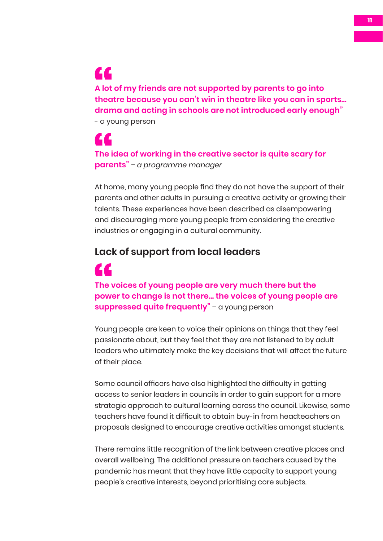#### **A lot of my friends are not supported by parents to go into theatre because you can't win in theatre like you can in sports… drama and acting in schools are not introduced early enough"** - a young person A lot<br>thea<br>dran

**The idea of working in the creative sector is quite scary for parents"** *– a programme manager* The i<br>pare

At home, many young people find they do not have the support of their parents and other adults in pursuing a creative activity or growing their talents. These experiences have been described as disempowering and discouraging more young people from considering the creative industries or engaging in a cultural community.

#### **Lack of support from local leaders**

#### **The voices of young people are very much there but the power to change is not there… the voices of young people are suppressed quite frequently"** – a young person The v<br>power

Young people are keen to voice their opinions on things that they feel passionate about, but they feel that they are not listened to by adult leaders who ultimately make the key decisions that will affect the future of their place.

Some council officers have also highlighted the difficulty in getting access to senior leaders in councils in order to gain support for a more strategic approach to cultural learning across the council. Likewise, some teachers have found it difficult to obtain buy-in from headteachers on proposals designed to encourage creative activities amongst students.

There remains little recognition of the link between creative places and overall wellbeing. The additional pressure on teachers caused by the pandemic has meant that they have little capacity to support young people's creative interests, beyond prioritising core subjects.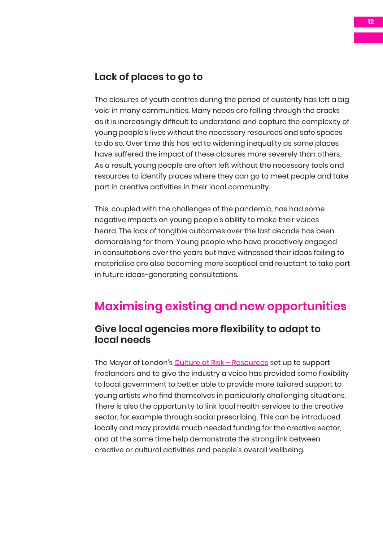#### **Lack of places to go to**

The closures of youth centres during the period of austerity has left a big void in many communities. Many needs are falling through the cracks as it is increasingly difficult to understand and capture the complexity of young people's lives without the necessary resources and safe spaces to do so. Over time this has led to widening inequality as some places have suffered the impact of these closures more severely than others. As a result, young people are often left without the necessary tools and resources to identify places where they can go to meet people and take part in creative activities in their local community.

This, coupled with the challenges of the pandemic, has had some negative impacts on young people's ability to make their voices heard. The lack of tangible outcomes over the last decade has been demoralising for them. Young people who have proactively engaged in consultations over the years but have witnessed their ideas failing to materialise are also becoming more sceptical and reluctant to take part in future ideas-generating consultations.

### **Maximising existing and new opportunities**

#### **Give local agencies more flexibility to adapt to local needs**

The Mayor of London's Culture at Risk - Resources set up to support freelancers and to give the industry a voice has provided some flexibility to local government to better able to provide more tailored support to young artists who find themselves in particularly challenging situations. There is also the opportunity to link local health services to the creative sector, for example through social prescribing. This can be introduced locally and may provide much needed funding for the creative sector, and at the same time help demonstrate the strong link between creative or cultural activities and people's overall wellbeing.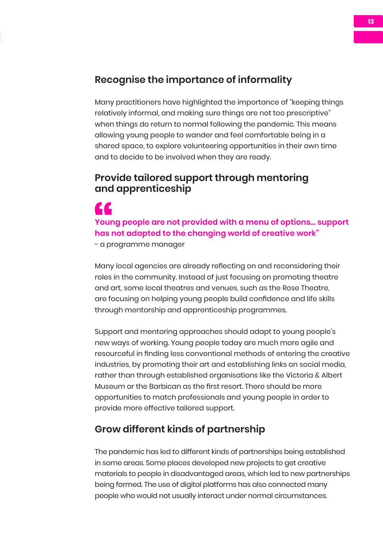#### **Recognise the importance of informality**

Many practitioners have highlighted the importance of "keeping things relatively informal, and making sure things are not too prescriptive" when things do return to normal following the pandemic. This means allowing young people to wander and feel comfortable being in a shared space, to explore volunteering opportunities in their own time and to decide to be involved when they are ready.

#### **Provide tailored support through mentoring and apprenticeship**

ZZ. Your<br>has r<br>- a pr **Young people are not provided with a menu of options… support has not adapted to the changing world of creative work"**

- a programme manager

Many local agencies are already reflecting on and reconsidering their roles in the community. Instead of just focusing on promoting theatre and art, some local theatres and venues, such as the Rose Theatre, are focusing on helping young people build confidence and life skills through mentorship and apprenticeship programmes.

Support and mentoring approaches should adapt to young people's new ways of working. Young people today are much more agile and resourceful in finding less conventional methods of entering the creative industries, by promoting their art and establishing links on social media, rather than through established organisations like the Victoria & Albert Museum or the Barbican as the first resort. There should be more opportunities to match professionals and young people in order to provide more effective tailored support.

#### **Grow different kinds of partnership**

The pandemic has led to different kinds of partnerships being established in some areas. Some places developed new projects to get creative materials to people in disadvantaged areas, which led to new partnerships being formed. The use of digital platforms has also connected many people who would not usually interact under normal circumstances.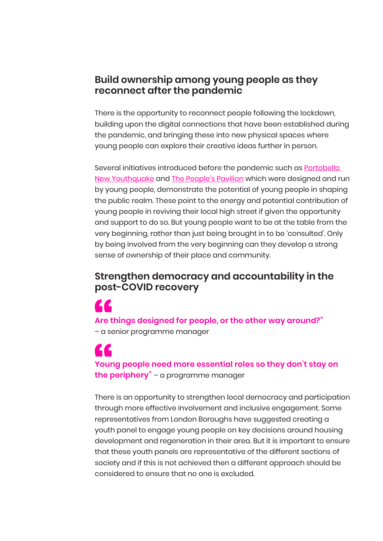#### **Build ownership among young people as they reconnect after the pandemic**

There is the opportunity to reconnect people following the lockdown, building upon the digital connections that have been established during the pandemic, and bringing these into new physical spaces where young people can explore their creative ideas further in person.

Several initiatives introduced before the pandemic such as **Portobello** [New Youthquake](http://ilovemarkets.co.uk/events/portobello-new-youthquake-next-generation-market/) and [The People's Pavilion](https://future.london/project/the-peoples-pavilion/) which were designed and run by young people, demonstrate the potential of young people in shaping the public realm. These point to the energy and potential contribution of young people in reviving their local high street if given the opportunity and support to do so. But young people want to be at the table from the very beginning, rather than just being brought in to be 'consulted'. Only by being involved from the very beginning can they develop a strong sense of ownership of their place and community.

#### **Strengthen democracy and accountability in the post-COVID recovery**

**Are things designed for people, or the other way around?"** – a senior programme manager Are t<br> $-\alpha$  se

**Young people need more essential roles so they don't stay on the periphery"** – a programme manager Your<br>the p

There is an opportunity to strengthen local democracy and participation through more effective involvement and inclusive engagement. Some representatives from London Boroughs have suggested creating a youth panel to engage young people on key decisions around housing development and regeneration in their area. But it is important to ensure that these youth panels are representative of the different sections of society and if this is not achieved then a different approach should be considered to ensure that no one is excluded.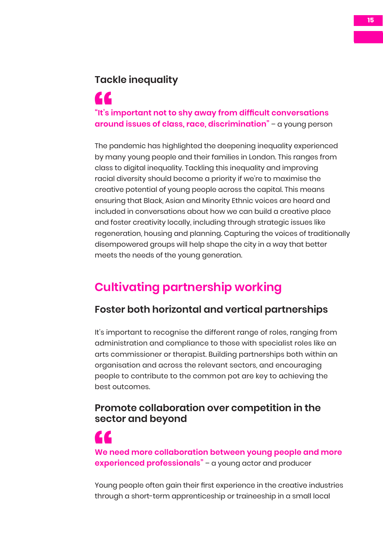#### **Tackle inequality**

## **"It's important not to shy away from difficult conversations around issues of class, race, discrimination"** – a young person "It's i<br>arou

The pandemic has highlighted the deepening inequality experienced by many young people and their families in London. This ranges from class to digital inequality. Tackling this inequality and improving racial diversity should become a priority if we're to maximise the creative potential of young people across the capital. This means ensuring that Black, Asian and Minority Ethnic voices are heard and included in conversations about how we can build a creative place and foster creativity locally, including through strategic issues like regeneration, housing and planning. Capturing the voices of traditionally disempowered groups will help shape the city in a way that better meets the needs of the young generation.

### **Cultivating partnership working**

#### **Foster both horizontal and vertical partnerships**

It's important to recognise the different range of roles, ranging from administration and compliance to those with specialist roles like an arts commissioner or therapist. Building partnerships both within an organisation and across the relevant sectors, and encouraging people to contribute to the common pot are key to achieving the best outcomes.

#### **Promote collaboration over competition in the sector and beyond**

**We need more collaboration between young people and more experienced professionals"** – a young actor and producer We n<br>expe

Young people often gain their first experience in the creative industries through a short-term apprenticeship or traineeship in a small local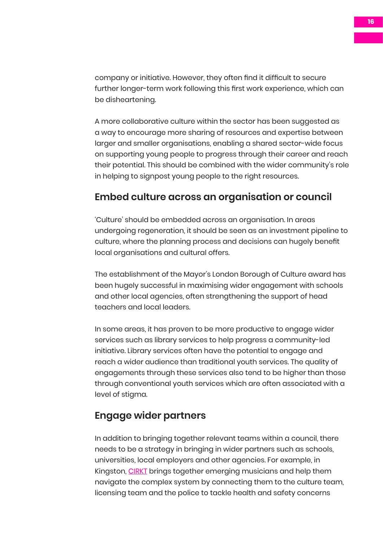company or initiative. However, they often find it difficult to secure further longer-term work following this first work experience, which can be disheartening.

A more collaborative culture within the sector has been suggested as a way to encourage more sharing of resources and expertise between larger and smaller organisations, enabling a shared sector-wide focus on supporting young people to progress through their career and reach their potential. This should be combined with the wider community's role in helping to signpost young people to the right resources.

#### **Embed culture across an organisation or council**

'Culture' should be embedded across an organisation. In areas undergoing regeneration, it should be seen as an investment pipeline to culture, where the planning process and decisions can hugely benefit local organisations and cultural offers.

The establishment of the Mayor's London Borough of Culture award has been hugely successful in maximising wider engagement with schools and other local agencies, often strengthening the support of head teachers and local leaders.

In some areas, it has proven to be more productive to engage wider services such as library services to help progress a community-led initiative. Library services often have the potential to engage and reach a wider audience than traditional youth services. The quality of engagements through these services also tend to be higher than those through conventional youth services which are often associated with a level of stigma.

#### **Engage wider partners**

In addition to bringing together relevant teams within a council, there needs to be a strategy in bringing in wider partners such as schools, universities, local employers and other agencies. For example, in Kingston, [CIRKT](https://www.cirkt.com/) brings together emerging musicians and help them navigate the complex system by connecting them to the culture team, licensing team and the police to tackle health and safety concerns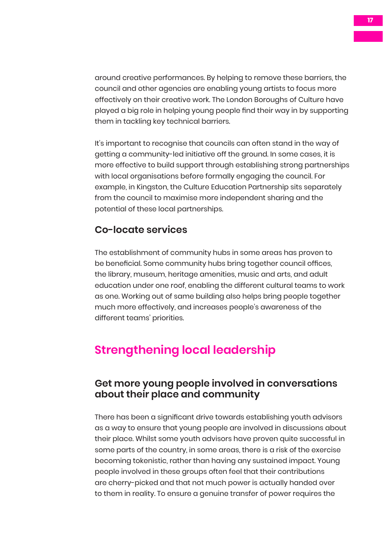around creative performances. By helping to remove these barriers, the council and other agencies are enabling young artists to focus more effectively on their creative work. The London Boroughs of Culture have played a big role in helping young people find their way in by supporting them in tackling key technical barriers.

It's important to recognise that councils can often stand in the way of getting a community-led initiative off the ground. In some cases, it is more effective to build support through establishing strong partnerships with local organisations before formally engaging the council. For example, in Kingston, the Culture Education Partnership sits separately from the council to maximise more independent sharing and the potential of these local partnerships.

#### **Co-locate services**

The establishment of community hubs in some areas has proven to be beneficial. Some community hubs bring together council offices, the library, museum, heritage amenities, music and arts, and adult education under one roof, enabling the different cultural teams to work as one. Working out of same building also helps bring people together much more effectively, and increases people's awareness of the different teams' priorities.

### **Strengthening local leadership**

#### **Get more young people involved in conversations about their place and community**

There has been a significant drive towards establishing youth advisors as a way to ensure that young people are involved in discussions about their place. Whilst some youth advisors have proven quite successful in some parts of the country, in some areas, there is a risk of the exercise becoming tokenistic, rather than having any sustained impact. Young people involved in these groups often feel that their contributions are cherry-picked and that not much power is actually handed over to them in reality. To ensure a genuine transfer of power requires the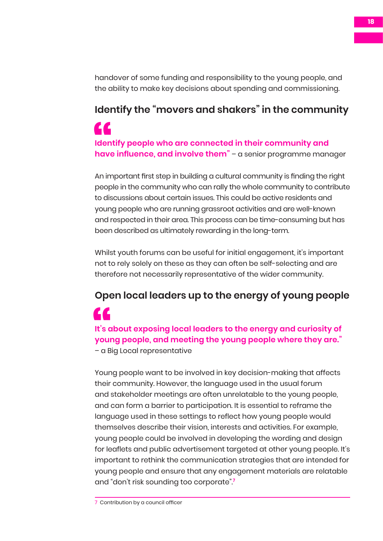handover of some funding and responsibility to the young people, and the ability to make key decisions about spending and commissioning.

# **Identify the "movers and shakers" in the community**

**Identify people who are connected in their community and have influence, and involve them**" – a senior programme manager " Iden<br>
have

An important first step in building a cultural community is finding the right people in the community who can rally the whole community to contribute to discussions about certain issues. This could be active residents and young people who are running grassroot activities and are well-known and respected in their area. This process can be time-consuming but has been described as ultimately rewarding in the long-term.

Whilst youth forums can be useful for initial engagement, it's important not to rely solely on these as they can often be self-selecting and are therefore not necessarily representative of the wider community.

# **Open local leaders up to the energy of young people**

**It's about exposing local leaders to the energy and curiosity of young people, and meeting the young people where they are."** It's a<br>your<br>- a B

– a Big Local representative

Young people want to be involved in key decision-making that affects their community. However, the language used in the usual forum and stakeholder meetings are often unrelatable to the young people, and can form a barrier to participation. It is essential to reframe the language used in these settings to reflect how young people would themselves describe their vision, interests and activities. For example, young people could be involved in developing the wording and design for leaflets and public advertisement targeted at other young people. It's important to rethink the communication strategies that are intended for young people and ensure that any engagement materials are relatable and "don't risk sounding too corporate".**<sup>7</sup>**

<sup>7</sup> Contribution by a council officer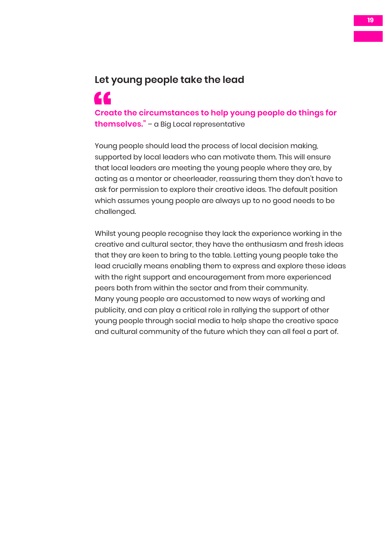#### **Let young people take the lead**

**Create the circumstances to help young people do things for themselves."** – a Big Local representative Cred<br>them

Young people should lead the process of local decision making, supported by local leaders who can motivate them. This will ensure that local leaders are meeting the young people where they are, by acting as a mentor or cheerleader, reassuring them they don't have to ask for permission to explore their creative ideas. The default position which assumes young people are always up to no good needs to be challenged.

Whilst young people recognise they lack the experience working in the creative and cultural sector, they have the enthusiasm and fresh ideas that they are keen to bring to the table. Letting young people take the lead crucially means enabling them to express and explore these ideas with the right support and encouragement from more experienced peers both from within the sector and from their community. Many young people are accustomed to new ways of working and publicity, and can play a critical role in rallying the support of other young people through social media to help shape the creative space and cultural community of the future which they can all feel a part of.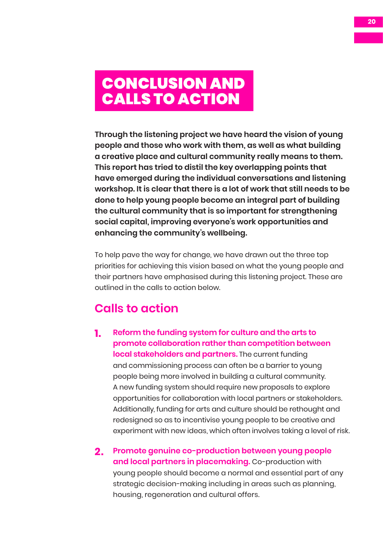## <span id="page-19-0"></span>CONCLUSION AND CALLS TO ACTION

**Through the listening project we have heard the vision of young people and those who work with them, as well as what building a creative place and cultural community really means to them. This report has tried to distil the key overlapping points that have emerged during the individual conversations and listening workshop. It is clear that there is a lot of work that still needs to be done to help young people become an integral part of building the cultural community that is so important for strengthening social capital, improving everyone's work opportunities and enhancing the community's wellbeing.** 

To help pave the way for change, we have drawn out the three top priorities for achieving this vision based on what the young people and their partners have emphasised during this listening project. These are outlined in the calls to action below.

### **Calls to action**

- **1. Reform the funding system for culture and the arts to promote collaboration rather than competition between local stakeholders and partners.** The current funding and commissioning process can often be a barrier to young people being more involved in building a cultural community. A new funding system should require new proposals to explore opportunities for collaboration with local partners or stakeholders. Additionally, funding for arts and culture should be rethought and redesigned so as to incentivise young people to be creative and experiment with new ideas, which often involves taking a level of risk.
- **2. Promote genuine co-production between young people and local partners in placemaking.** Co-production with young people should become a normal and essential part of any strategic decision-making including in areas such as planning, housing, regeneration and cultural offers.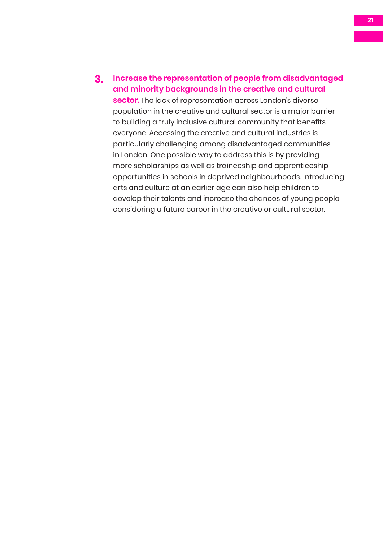**3. Increase the representation of people from disadvantaged and minority backgrounds in the creative and cultural** 

**sector.** The lack of representation across London's diverse population in the creative and cultural sector is a major barrier to building a truly inclusive cultural community that benefits everyone. Accessing the creative and cultural industries is particularly challenging among disadvantaged communities in London. One possible way to address this is by providing more scholarships as well as traineeship and apprenticeship opportunities in schools in deprived neighbourhoods. Introducing arts and culture at an earlier age can also help children to develop their talents and increase the chances of young people considering a future career in the creative or cultural sector.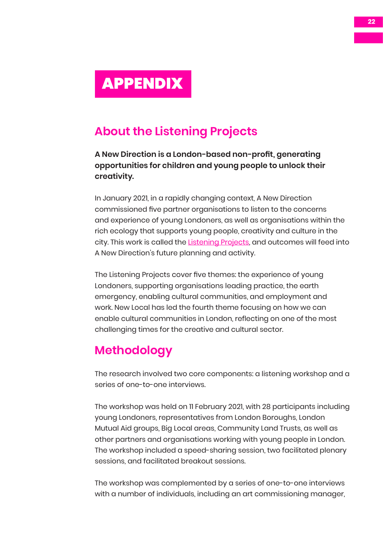## <span id="page-21-0"></span>APPENDIX

### **About the Listening Projects**

**[A New Direction](http://www.anewdirection.org.uk/) is a London-based non-profit, generating opportunities for children and young people to unlock their**  creativity.

In January 2021, in a rapidly changing context, A New Direction commissioned five partner organisations to listen to the concerns and experience of young Londoners, as well as organisations within the rich ecology that supports young people, creativity and culture in the city. This work is called the *Listening Projects*, and outcomes will feed into A New Direction's future planning and activity.

The Listening Projects cover five themes: the experience of young Londoners, supporting organisations leading practice, the earth emergency, enabling cultural communities, and employment and work. New Local has led the fourth theme focusing on how we can enable cultural communities in London, reflecting on one of the most challenging times for the creative and cultural sector.

#### **Methodology**

The research involved two core components: a listening workshop and a series of one-to-one interviews.

The workshop was held on 11 February 2021, with 28 participants including young Londoners, representatives from London Boroughs, London Mutual Aid groups, Big Local areas, Community Land Trusts, as well as other partners and organisations working with young people in London. The workshop included a speed-sharing session, two facilitated plenary sessions, and facilitated breakout sessions.

The workshop was complemented by a series of one-to-one interviews with a number of individuals, including an art commissioning manager,